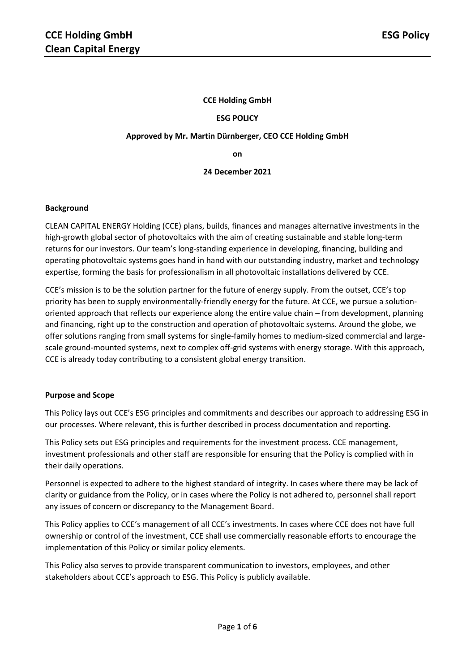### **CCE Holding GmbH**

#### **ESG POLICY**

#### **Approved by Mr. Martin Dürnberger, CEO CCE Holding GmbH**

**on** 

#### **24 December 2021**

#### **Background**

CLEAN CAPITAL ENERGY Holding (CCE) plans, builds, finances and manages alternative investments in the high-growth global sector of photovoltaics with the aim of creating sustainable and stable long-term returns for our investors. Our team's long-standing experience in developing, financing, building and operating photovoltaic systems goes hand in hand with our outstanding industry, market and technology expertise, forming the basis for professionalism in all photovoltaic installations delivered by CCE.

CCE's mission is to be the solution partner for the future of energy supply. From the outset, CCE's top priority has been to supply environmentally-friendly energy for the future. At CCE, we pursue a solutionoriented approach that reflects our experience along the entire value chain – from development, planning and financing, right up to the construction and operation of photovoltaic systems. Around the globe, we offer solutions ranging from small systems for single-family homes to medium-sized commercial and largescale ground-mounted systems, next to complex off-grid systems with energy storage. With this approach, CCE is already today contributing to a consistent global energy transition.

#### **Purpose and Scope**

This Policy lays out CCE's ESG principles and commitments and describes our approach to addressing ESG in our processes. Where relevant, this is further described in process documentation and reporting.

This Policy sets out ESG principles and requirements for the investment process. CCE management, investment professionals and other staff are responsible for ensuring that the Policy is complied with in their daily operations.

Personnel is expected to adhere to the highest standard of integrity. In cases where there may be lack of clarity or guidance from the Policy, or in cases where the Policy is not adhered to, personnel shall report any issues of concern or discrepancy to the Management Board.

This Policy applies to CCE's management of all CCE's investments. In cases where CCE does not have full ownership or control of the investment, CCE shall use commercially reasonable efforts to encourage the implementation of this Policy or similar policy elements.

This Policy also serves to provide transparent communication to investors, employees, and other stakeholders about CCE's approach to ESG. This Policy is publicly available.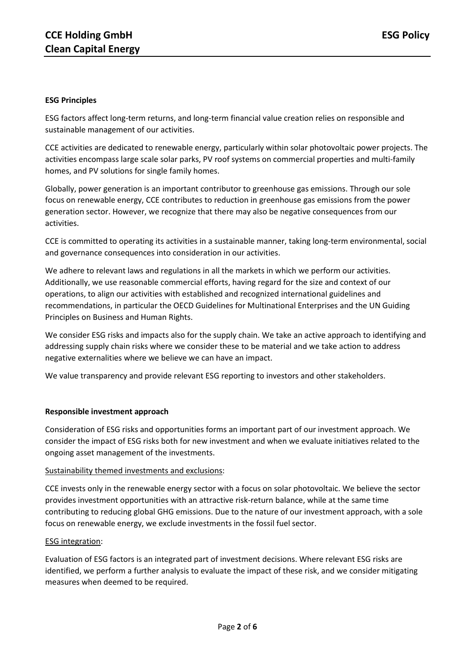### **ESG Principles**

ESG factors affect long-term returns, and long-term financial value creation relies on responsible and sustainable management of our activities.

CCE activities are dedicated to renewable energy, particularly within solar photovoltaic power projects. The activities encompass large scale solar parks, PV roof systems on commercial properties and multi-family homes, and PV solutions for single family homes.

Globally, power generation is an important contributor to greenhouse gas emissions. Through our sole focus on renewable energy, CCE contributes to reduction in greenhouse gas emissions from the power generation sector. However, we recognize that there may also be negative consequences from our activities.

CCE is committed to operating its activities in a sustainable manner, taking long-term environmental, social and governance consequences into consideration in our activities.

We adhere to relevant laws and regulations in all the markets in which we perform our activities. Additionally, we use reasonable commercial efforts, having regard for the size and context of our operations, to align our activities with established and recognized international guidelines and recommendations, in particular the OECD Guidelines for Multinational Enterprises and the UN Guiding Principles on Business and Human Rights.

We consider ESG risks and impacts also for the supply chain. We take an active approach to identifying and addressing supply chain risks where we consider these to be material and we take action to address negative externalities where we believe we can have an impact.

We value transparency and provide relevant ESG reporting to investors and other stakeholders.

#### **Responsible investment approach**

Consideration of ESG risks and opportunities forms an important part of our investment approach. We consider the impact of ESG risks both for new investment and when we evaluate initiatives related to the ongoing asset management of the investments.

#### Sustainability themed investments and exclusions:

CCE invests only in the renewable energy sector with a focus on solar photovoltaic. We believe the sector provides investment opportunities with an attractive risk-return balance, while at the same time contributing to reducing global GHG emissions. Due to the nature of our investment approach, with a sole focus on renewable energy, we exclude investments in the fossil fuel sector.

#### ESG integration:

Evaluation of ESG factors is an integrated part of investment decisions. Where relevant ESG risks are identified, we perform a further analysis to evaluate the impact of these risk, and we consider mitigating measures when deemed to be required.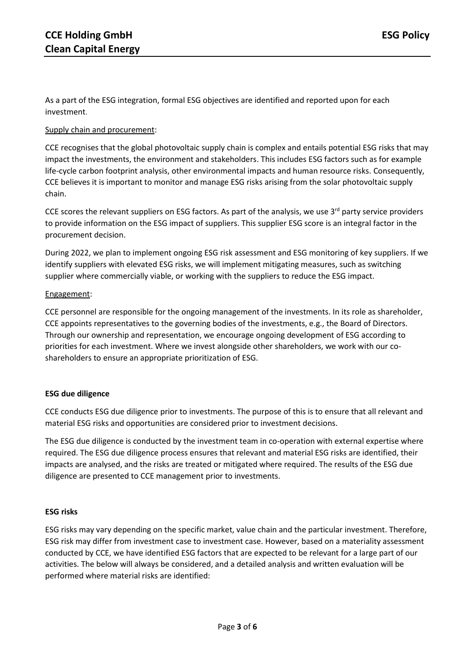As a part of the ESG integration, formal ESG objectives are identified and reported upon for each investment.

# Supply chain and procurement:

CCE recognises that the global photovoltaic supply chain is complex and entails potential ESG risks that may impact the investments, the environment and stakeholders. This includes ESG factors such as for example life-cycle carbon footprint analysis, other environmental impacts and human resource risks. Consequently, CCE believes it is important to monitor and manage ESG risks arising from the solar photovoltaic supply chain.

CCE scores the relevant suppliers on ESG factors. As part of the analysis, we use 3<sup>rd</sup> party service providers to provide information on the ESG impact of suppliers. This supplier ESG score is an integral factor in the procurement decision.

During 2022, we plan to implement ongoing ESG risk assessment and ESG monitoring of key suppliers. If we identify suppliers with elevated ESG risks, we will implement mitigating measures, such as switching supplier where commercially viable, or working with the suppliers to reduce the ESG impact.

## Engagement:

CCE personnel are responsible for the ongoing management of the investments. In its role as shareholder, CCE appoints representatives to the governing bodies of the investments, e.g., the Board of Directors. Through our ownership and representation, we encourage ongoing development of ESG according to priorities for each investment. Where we invest alongside other shareholders, we work with our coshareholders to ensure an appropriate prioritization of ESG.

## **ESG due diligence**

CCE conducts ESG due diligence prior to investments. The purpose of this is to ensure that all relevant and material ESG risks and opportunities are considered prior to investment decisions.

The ESG due diligence is conducted by the investment team in co-operation with external expertise where required. The ESG due diligence process ensures that relevant and material ESG risks are identified, their impacts are analysed, and the risks are treated or mitigated where required. The results of the ESG due diligence are presented to CCE management prior to investments.

## **ESG risks**

ESG risks may vary depending on the specific market, value chain and the particular investment. Therefore, ESG risk may differ from investment case to investment case. However, based on a materiality assessment conducted by CCE, we have identified ESG factors that are expected to be relevant for a large part of our activities. The below will always be considered, and a detailed analysis and written evaluation will be performed where material risks are identified: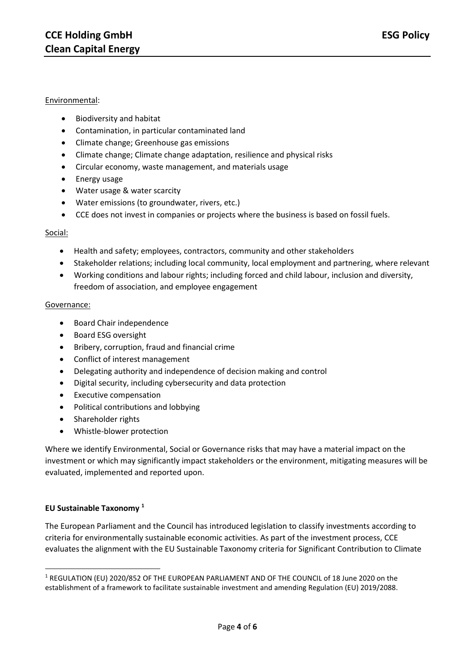## Environmental:

- Biodiversity and habitat
- Contamination, in particular contaminated land
- Climate change; Greenhouse gas emissions
- Climate change; Climate change adaptation, resilience and physical risks
- Circular economy, waste management, and materials usage
- Energy usage
- Water usage & water scarcity
- Water emissions (to groundwater, rivers, etc.)
- CCE does not invest in companies or projects where the business is based on fossil fuels.

### Social:

- Health and safety; employees, contractors, community and other stakeholders
- Stakeholder relations; including local community, local employment and partnering, where relevant
- Working conditions and labour rights; including forced and child labour, inclusion and diversity, freedom of association, and employee engagement

#### Governance:

- Board Chair independence
- Board ESG oversight
- Bribery, corruption, fraud and financial crime
- Conflict of interest management
- Delegating authority and independence of decision making and control
- Digital security, including cybersecurity and data protection
- Executive compensation
- Political contributions and lobbying
- Shareholder rights
- Whistle-blower protection

Where we identify Environmental, Social or Governance risks that may have a material impact on the investment or which may significantly impact stakeholders or the environment, mitigating measures will be evaluated, implemented and reported upon.

## **EU Sustainable Taxonomy <sup>1</sup>**

The European Parliament and the Council has introduced legislation to classify investments according to criteria for environmentally sustainable economic activities. As part of the investment process, CCE evaluates the alignment with the EU Sustainable Taxonomy criteria for Significant Contribution to Climate

**<sup>.</sup>** <sup>1</sup> REGULATION (EU) 2020/852 OF THE EUROPEAN PARLIAMENT AND OF THE COUNCIL of 18 June 2020 on the establishment of a framework to facilitate sustainable investment and amending Regulation (EU) 2019/2088.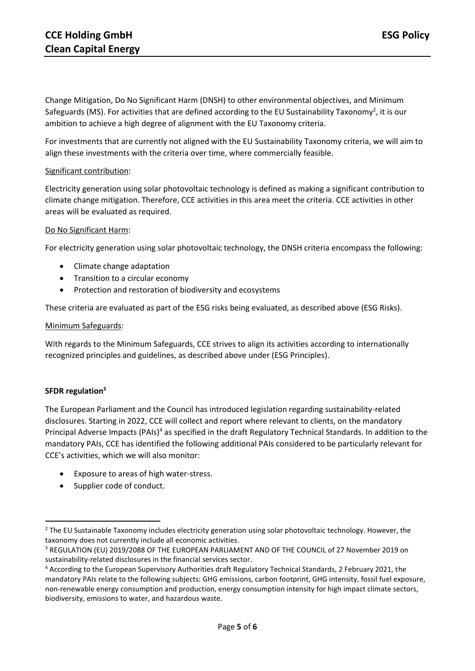Change Mitigation, Do No Significant Harm (DNSH) to other environmental objectives, and Minimum Safeguards (MS). For activities that are defined according to the EU Sustainability Taxonomy<sup>2</sup>, it is our ambition to achieve a high degree of alignment with the EU Taxonomy criteria.

For investments that are currently not aligned with the EU Sustainability Taxonomy criteria, we will aim to align these investments with the criteria over time, where commercially feasible.

### Significant contribution:

Electricity generation using solar photovoltaic technology is defined as making a significant contribution to climate change mitigation. Therefore, CCE activities in this area meet the criteria. CCE activities in other areas will be evaluated as required.

### Do No Significant Harm:

For electricity generation using solar photovoltaic technology, the DNSH criteria encompass the following:

- Climate change adaptation
- Transition to a circular economy
- Protection and restoration of biodiversity and ecosystems

These criteria are evaluated as part of the ESG risks being evaluated, as described above (ESG Risks).

### Minimum Safeguards:

With regards to the Minimum Safeguards, CCE strives to align its activities according to internationally recognized principles and guidelines, as described above under (ESG Principles).

## **SFDR regulation<sup>3</sup>**

1

The European Parliament and the Council has introduced legislation regarding sustainability-related disclosures. Starting in 2022, CCE will collect and report where relevant to clients, on the mandatory Principal Adverse Impacts (PAIs)<sup>4</sup> as specified in the draft Regulatory Technical Standards. In addition to the mandatory PAIs, CCE has identified the following additional PAIs considered to be particularly relevant for CCE's activities, which we will also monitor:

- Exposure to areas of high water-stress.
- Supplier code of conduct.

<sup>&</sup>lt;sup>2</sup> The EU Sustainable Taxonomy includes electricity generation using solar photovoltaic technology. However, the taxonomy does not currently include all economic activities.

<sup>&</sup>lt;sup>3</sup> REGULATION (EU) 2019/2088 OF THE EUROPEAN PARLIAMENT AND OF THE COUNCIL of 27 November 2019 on sustainability‐related disclosures in the financial services sector.

<sup>4</sup> According to the European Supervisory Authorities draft Regulatory Technical Standards, 2 February 2021, the mandatory PAIs relate to the following subjects: GHG emissions, carbon footprint, GHG intensity, fossil fuel exposure, non-renewable energy consumption and production, energy consumption intensity for high impact climate sectors, biodiversity, emissions to water, and hazardous waste.